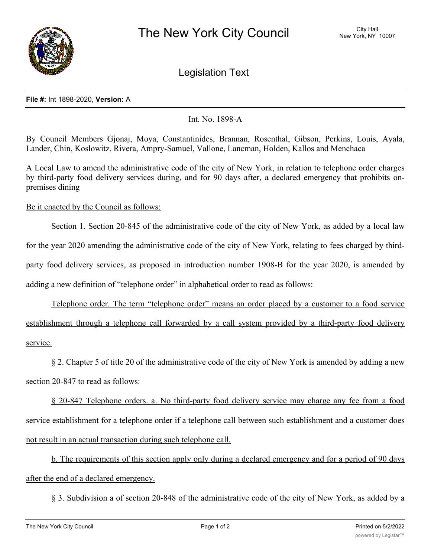

Legislation Text

## **File #:** Int 1898-2020, **Version:** A

## Int. No. 1898-A

By Council Members Gjonaj, Moya, Constantinides, Brannan, Rosenthal, Gibson, Perkins, Louis, Ayala, Lander, Chin, Koslowitz, Rivera, Ampry-Samuel, Vallone, Lancman, Holden, Kallos and Menchaca

A Local Law to amend the administrative code of the city of New York, in relation to telephone order charges by third-party food delivery services during, and for 90 days after, a declared emergency that prohibits onpremises dining

## Be it enacted by the Council as follows:

Section 1. Section 20-845 of the administrative code of the city of New York, as added by a local law for the year 2020 amending the administrative code of the city of New York, relating to fees charged by thirdparty food delivery services, as proposed in introduction number 1908-B for the year 2020, is amended by adding a new definition of "telephone order" in alphabetical order to read as follows:

Telephone order. The term "telephone order" means an order placed by a customer to a food service establishment through a telephone call forwarded by a call system provided by a third-party food delivery service.

§ 2. Chapter 5 of title 20 of the administrative code of the city of New York is amended by adding a new section 20-847 to read as follows:

§ 20-847 Telephone orders. a. No third-party food delivery service may charge any fee from a food service establishment for a telephone order if a telephone call between such establishment and a customer does not result in an actual transaction during such telephone call.

b. The requirements of this section apply only during a declared emergency and for a period of 90 days after the end of a declared emergency.

§ 3. Subdivision a of section 20-848 of the administrative code of the city of New York, as added by a